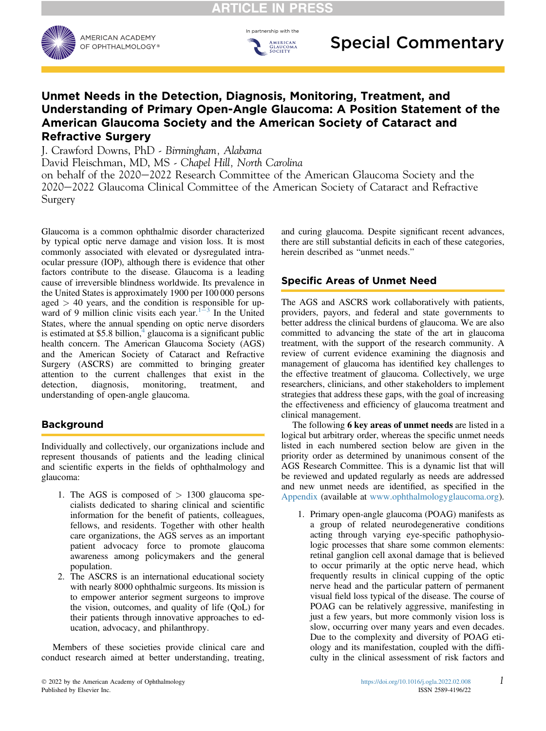In partnership with the

AMERICAN<br>GLAUCOMA<br>SOCIETY



## Unmet Needs in the Detection, Diagnosis, Monitoring, Treatment, and Understanding of Primary Open-Angle Glaucoma: A Position Statement of the American Glaucoma Society and the American Society of Cataract and Refractive Surgery

J. Crawford Downs, PhD - Birmingham, Alabama

David Fleischman, MD, MS - Chapel Hill, North Carolina

on behalf of the 2020–2022 Research Committee of the American Glaucoma Society and the 2020–2022 Glaucoma Clinical Committee of the American Society of Cataract and Refractive Surgery

Glaucoma is a common ophthalmic disorder characterized by typical optic nerve damage and vision loss. It is most commonly associated with elevated or dysregulated intraocular pressure (IOP), although there is evidence that other factors contribute to the disease. Glaucoma is a leading cause of irreversible blindness worldwide. Its prevalence in the United States is approximately 1900 per 100 000 persons aged  $> 40$  years, and the condition is responsible for upward of 9 million clinic visits each year. $1-3$  $1-3$  $1-3$  In the United States, where the annual spending on optic nerve disorders is estimated at \$5.8 billion, $\frac{4}{3}$  $\frac{4}{3}$  $\frac{4}{3}$  glaucoma is a significant public health concern. The American Glaucoma Society (AGS) and the American Society of Cataract and Refractive Surgery (ASCRS) are committed to bringing greater attention to the current challenges that exist in the detection, diagnosis, monitoring, treatment, and detection, diagnosis, monitoring, treatment, and understanding of open-angle glaucoma.

## Background

Individually and collectively, our organizations include and represent thousands of patients and the leading clinical and scientific experts in the fields of ophthalmology and glaucoma:

- 1. The AGS is composed of  $> 1300$  glaucoma specialists dedicated to sharing clinical and scientific information for the benefit of patients, colleagues, fellows, and residents. Together with other health care organizations, the AGS serves as an important patient advocacy force to promote glaucoma awareness among policymakers and the general population.
- 2. The ASCRS is an international educational society with nearly 8000 ophthalmic surgeons. Its mission is to empower anterior segment surgeons to improve the vision, outcomes, and quality of life (QoL) for their patients through innovative approaches to education, advocacy, and philanthropy.

Members of these societies provide clinical care and conduct research aimed at better understanding, treating,

and curing glaucoma. Despite significant recent advances, there are still substantial deficits in each of these categories, herein described as "unmet needs."

## Specific Areas of Unmet Need

The AGS and ASCRS work collaboratively with patients, providers, payors, and federal and state governments to better address the clinical burdens of glaucoma. We are also committed to advancing the state of the art in glaucoma treatment, with the support of the research community. A review of current evidence examining the diagnosis and management of glaucoma has identified key challenges to the effective treatment of glaucoma. Collectively, we urge researchers, clinicians, and other stakeholders to implement strategies that address these gaps, with the goal of increasing the effectiveness and efficiency of glaucoma treatment and clinical management.

The following 6 key areas of unmet needs are listed in a logical but arbitrary order, whereas the specific unmet needs listed in each numbered section below are given in the priority order as determined by unanimous consent of the AGS Research Committee. This is a dynamic list that will be reviewed and updated regularly as needs are addressed and new unmet needs are identified, as specified in the [Appendix](#page-2-2) (available at [www.ophthalmologyglaucoma.org\)](http://www.ophthalmologyglaucoma.org).

1. Primary open-angle glaucoma (POAG) manifests as a group of related neurodegenerative conditions acting through varying eye-specific pathophysiologic processes that share some common elements: retinal ganglion cell axonal damage that is believed to occur primarily at the optic nerve head, which frequently results in clinical cupping of the optic nerve head and the particular pattern of permanent visual field loss typical of the disease. The course of POAG can be relatively aggressive, manifesting in just a few years, but more commonly vision loss is slow, occurring over many years and even decades. Due to the complexity and diversity of POAG etiology and its manifestation, coupled with the difficulty in the clinical assessment of risk factors and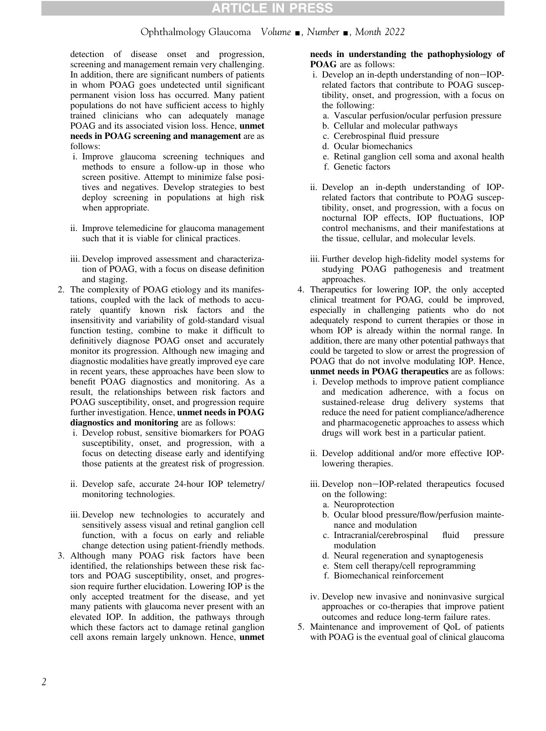### Ophthalmology Glaucoma Volume  $\blacksquare$ , Number  $\blacksquare$ , Month 2022

detection of disease onset and progression, screening and management remain very challenging. In addition, there are significant numbers of patients in whom POAG goes undetected until significant permanent vision loss has occurred. Many patient populations do not have sufficient access to highly trained clinicians who can adequately manage POAG and its associated vision loss. Hence, unmet needs in POAG screening and management are as follows:

- i. Improve glaucoma screening techniques and methods to ensure a follow-up in those who screen positive. Attempt to minimize false positives and negatives. Develop strategies to best deploy screening in populations at high risk when appropriate.
- ii. Improve telemedicine for glaucoma management such that it is viable for clinical practices.
- iii. Develop improved assessment and characterization of POAG, with a focus on disease definition and staging.
- 2. The complexity of POAG etiology and its manifestations, coupled with the lack of methods to accurately quantify known risk factors and the insensitivity and variability of gold-standard visual function testing, combine to make it difficult to definitively diagnose POAG onset and accurately monitor its progression. Although new imaging and diagnostic modalities have greatly improved eye care in recent years, these approaches have been slow to benefit POAG diagnostics and monitoring. As a result, the relationships between risk factors and POAG susceptibility, onset, and progression require further investigation. Hence, unmet needs in POAG diagnostics and monitoring are as follows:
	- i. Develop robust, sensitive biomarkers for POAG susceptibility, onset, and progression, with a focus on detecting disease early and identifying those patients at the greatest risk of progression.
	- ii. Develop safe, accurate 24-hour IOP telemetry/ monitoring technologies.
	- iii. Develop new technologies to accurately and sensitively assess visual and retinal ganglion cell function, with a focus on early and reliable change detection using patient-friendly methods.
- 3. Although many POAG risk factors have been identified, the relationships between these risk factors and POAG susceptibility, onset, and progression require further elucidation. Lowering IOP is the only accepted treatment for the disease, and yet many patients with glaucoma never present with an elevated IOP. In addition, the pathways through which these factors act to damage retinal ganglion cell axons remain largely unknown. Hence, unmet

#### needs in understanding the pathophysiology of POAG are as follows:

- i. Develop an in-depth understanding of non-IOPrelated factors that contribute to POAG susceptibility, onset, and progression, with a focus on the following:
	- a. Vascular perfusion/ocular perfusion pressure
	- b. Cellular and molecular pathways
	- c. Cerebrospinal fluid pressure
	- d. Ocular biomechanics
	- e. Retinal ganglion cell soma and axonal health
	- f. Genetic factors
- ii. Develop an in-depth understanding of IOPrelated factors that contribute to POAG susceptibility, onset, and progression, with a focus on nocturnal IOP effects, IOP fluctuations, IOP control mechanisms, and their manifestations at the tissue, cellular, and molecular levels.
- iii. Further develop high-fidelity model systems for studying POAG pathogenesis and treatment approaches.
- 4. Therapeutics for lowering IOP, the only accepted clinical treatment for POAG, could be improved, especially in challenging patients who do not adequately respond to current therapies or those in whom IOP is already within the normal range. In addition, there are many other potential pathways that could be targeted to slow or arrest the progression of POAG that do not involve modulating IOP. Hence, unmet needs in POAG therapeutics are as follows:
	- i. Develop methods to improve patient compliance and medication adherence, with a focus on sustained-release drug delivery systems that reduce the need for patient compliance/adherence and pharmacogenetic approaches to assess which drugs will work best in a particular patient.
	- ii. Develop additional and/or more effective IOPlowering therapies.
	- iii. Develop non-IOP-related therapeutics focused on the following:
		- a. Neuroprotection
		- b. Ocular blood pressure/flow/perfusion maintenance and modulation
		- c. Intracranial/cerebrospinal fluid pressure modulation
		- d. Neural regeneration and synaptogenesis
		- e. Stem cell therapy/cell reprogramming
		- f. Biomechanical reinforcement
	- iv. Develop new invasive and noninvasive surgical approaches or co-therapies that improve patient outcomes and reduce long-term failure rates.
- 5. Maintenance and improvement of QoL of patients with POAG is the eventual goal of clinical glaucoma